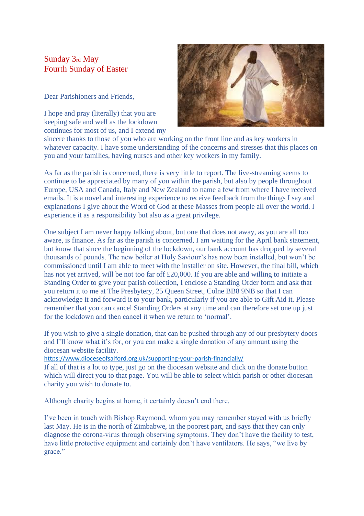## Sunday 3rd May Fourth Sunday of Easter

Dear Parishioners and Friends,

I hope and pray (literally) that you are keeping safe and well as the lockdown continues for most of us, and I extend my



sincere thanks to those of you who are working on the front line and as key workers in whatever capacity. I have some understanding of the concerns and stresses that this places on you and your families, having nurses and other key workers in my family.

As far as the parish is concerned, there is very little to report. The live-streaming seems to continue to be appreciated by many of you within the parish, but also by people throughout Europe, USA and Canada, Italy and New Zealand to name a few from where I have received emails. It is a novel and interesting experience to receive feedback from the things I say and explanations I give about the Word of God at these Masses from people all over the world. I experience it as a responsibility but also as a great privilege.

One subject I am never happy talking about, but one that does not away, as you are all too aware, is finance. As far as the parish is concerned, I am waiting for the April bank statement, but know that since the beginning of the lockdown, our bank account has dropped by several thousands of pounds. The new boiler at Holy Saviour's has now been installed, but won't be commissioned until I am able to meet with the installer on site. However, the final bill, which has not yet arrived, will be not too far off £20,000. If you are able and willing to initiate a Standing Order to give your parish collection, I enclose a Standing Order form and ask that you return it to me at The Presbytery, 25 Queen Street, Colne BB8 9NB so that I can acknowledge it and forward it to your bank, particularly if you are able to Gift Aid it. Please remember that you can cancel Standing Orders at any time and can therefore set one up just for the lockdown and then cancel it when we return to 'normal'.

If you wish to give a single donation, that can be pushed through any of our presbytery doors and I'll know what it's for, or you can make a single donation of any amount using the diocesan website facility.

<https://www.dioceseofsalford.org.uk/supporting-your-parish-financially/>

If all of that is a lot to type, just go on the diocesan website and click on the donate button which will direct you to that page. You will be able to select which parish or other diocesan charity you wish to donate to.

Although charity begins at home, it certainly doesn't end there.

I've been in touch with Bishop Raymond, whom you may remember stayed with us briefly last May. He is in the north of Zimbabwe, in the poorest part, and says that they can only diagnose the corona-virus through observing symptoms. They don't have the facility to test, have little protective equipment and certainly don't have ventilators. He says, "we live by grace."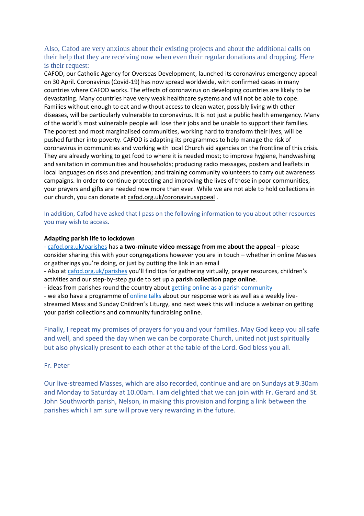## Also, Cafod are very anxious about their existing projects and about the additional calls on their help that they are receiving now when even their regular donations and dropping. Here is their request:

CAFOD, our Catholic Agency for Overseas Development, launched its coronavirus emergency appeal on 30 April. Coronavirus (Covid-19) has now spread worldwide, with confirmed cases in many countries where CAFOD works. The effects of coronavirus on developing countries are likely to be devastating. Many countries have very weak healthcare systems and will not be able to cope. Families without enough to eat and without access to clean water, possibly living with other diseases, will be particularly vulnerable to coronavirus. It is not just a public health emergency. Many of the world's most vulnerable people will lose their jobs and be unable to support their families. The poorest and most marginalised communities, working hard to transform their lives, will be pushed further into poverty. CAFOD is adapting its programmes to help manage the risk of coronavirus in communities and working with local Church aid agencies on the frontline of this crisis. They are already working to get food to where it is needed most; to improve hygiene, handwashing and sanitation in communities and households; producing radio messages, posters and leaflets in local languages on risks and prevention; and training community volunteers to carry out awareness campaigns. In order to continue protecting and improving the lives of those in poor communities, your prayers and gifts are needed now more than ever. While we are not able to hold collections in our church, you can donate at [cafod.org.uk/coronavirusappeal](https://cafod.org.uk/coronavirusappeal) .

In addition, Cafod have asked that I pass on the following information to you about other resources you may wish to access.

## **Adapting parish life to lockdown**

- [cafod.org.uk/parishes](https://cafod.org.uk/Fundraise/Parish-fundraising) has **a two-minute video message from me about the appeal** – please consider sharing this with your congregations however you are in touch – whether in online Masses or gatherings you're doing, or just by putting the link in an email

- Also at [cafod.org.uk/parishes](https://cafod.org.uk/Fundraise/Parish-fundraising) you'll find tips for gathering virtually, prayer resources, children's activities and our step-by-step guide to set up a **parish collection page online**.

- ideas from parishes round the country about [getting online as a parish community](https://blog.cafod.org.uk/2020/04/16/helping-your-congregation-get-online/)

- we also have a programme of **[online talks](https://cafod.org.uk/Volunteer/Online-talks)** about our response work as well as a weekly livestreamed Mass and Sunday Children's Liturgy, and next week this will include a webinar on getting your parish collections and community fundraising online.

Finally, I repeat my promises of prayers for you and your families. May God keep you all safe and well, and speed the day when we can be corporate Church, united not just spiritually but also physically present to each other at the table of the Lord. God bless you all.

## Fr. Peter

Our live-streamed Masses, which are also recorded, continue and are on Sundays at 9.30am and Monday to Saturday at 10.00am. I am delighted that we can join with Fr. Gerard and St. John Southworth parish, Nelson, in making this provision and forging a link between the parishes which I am sure will prove very rewarding in the future.